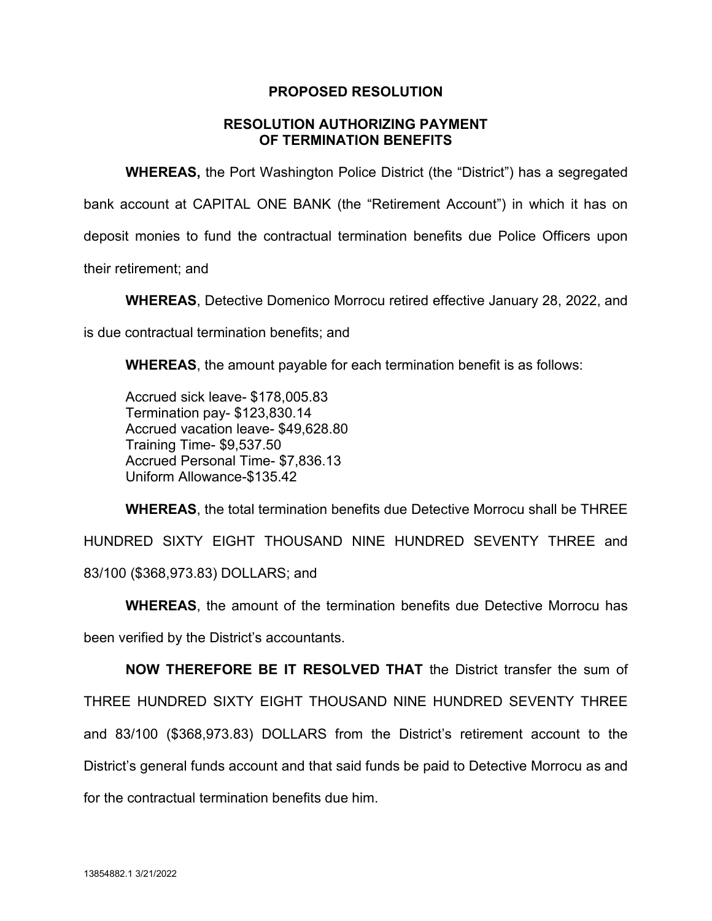## **PROPOSED RESOLUTION**

## **RESOLUTION AUTHORIZING PAYMENT OF TERMINATION BENEFITS**

**WHEREAS,** the Port Washington Police District (the "District") has a segregated bank account at CAPITAL ONE BANK (the "Retirement Account") in which it has on deposit monies to fund the contractual termination benefits due Police Officers upon their retirement; and

**WHEREAS**, Detective Domenico Morrocu retired effective January 28, 2022, and

is due contractual termination benefits; and

**WHEREAS**, the amount payable for each termination benefit is as follows:

Accrued sick leave- \$178,005.83 Termination pay- \$123,830.14 Accrued vacation leave- \$49,628.80 Training Time- \$9,537.50 Accrued Personal Time- \$7,836.13 Uniform Allowance-\$135.42

**WHEREAS**, the total termination benefits due Detective Morrocu shall be THREE HUNDRED SIXTY EIGHT THOUSAND NINE HUNDRED SEVENTY THREE and 83/100 (\$368,973.83) DOLLARS; and

**WHEREAS**, the amount of the termination benefits due Detective Morrocu has been verified by the District's accountants.

**NOW THEREFORE BE IT RESOLVED THAT** the District transfer the sum of THREE HUNDRED SIXTY EIGHT THOUSAND NINE HUNDRED SEVENTY THREE and 83/100 (\$368,973.83) DOLLARS from the District's retirement account to the District's general funds account and that said funds be paid to Detective Morrocu as and for the contractual termination benefits due him.